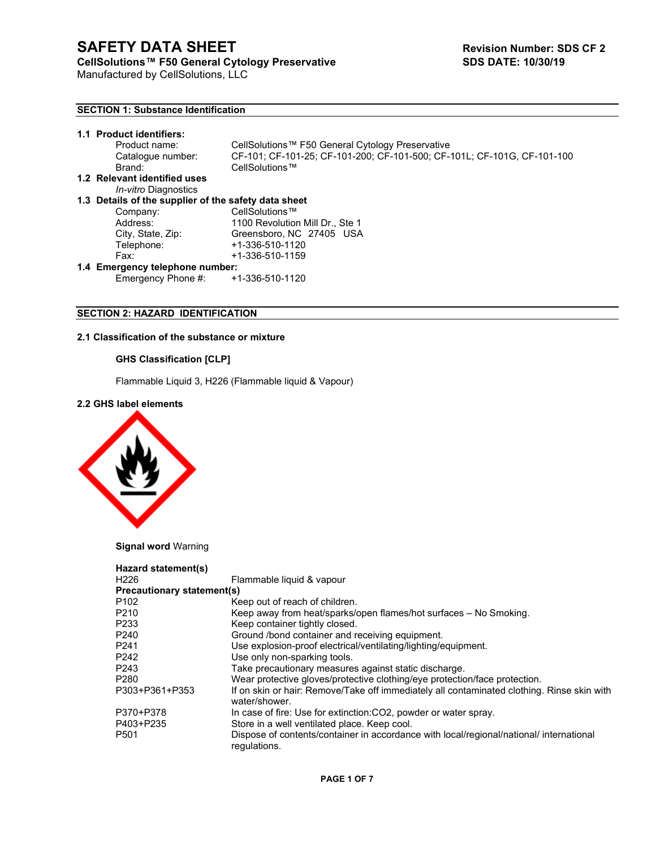Manufactured by CellSolutions, LLC

# **SECTION 1: Substance Identification**

|                                                      | 1.1 Product identifiers:<br>Product name:<br>Catalogue number:<br>Brand: | CellSolutions™ F50 General Cytology Preservative<br>CF-101; CF-101-25; CF-101-200; CF-101-500; CF-101L; CF-101G, CF-101-100<br>CellSolutions™ |
|------------------------------------------------------|--------------------------------------------------------------------------|-----------------------------------------------------------------------------------------------------------------------------------------------|
|                                                      | 1.2 Relevant identified uses                                             |                                                                                                                                               |
|                                                      | <i>In-vitro</i> Diagnostics                                              |                                                                                                                                               |
| 1.3 Details of the supplier of the safety data sheet |                                                                          |                                                                                                                                               |
|                                                      | Company:                                                                 | CellSolutions™                                                                                                                                |
|                                                      | Address:                                                                 | 1100 Revolution Mill Dr., Ste 1                                                                                                               |
|                                                      | City, State, Zip:                                                        | Greensboro, NC 27405 USA                                                                                                                      |
|                                                      | Telephone:                                                               | +1-336-510-1120                                                                                                                               |
|                                                      | Fax:                                                                     | $+1-336-510-1159$                                                                                                                             |
| 1.4 Emergency telephone number:                      |                                                                          |                                                                                                                                               |
|                                                      | Emergency Phone #:                                                       | +1-336-510-1120                                                                                                                               |

# **SECTION 2: HAZARD IDENTIFICATION**

# **2.1 Classification of the substance or mixture**

# **GHS Classification [CLP]**

Flammable Liquid 3, H226 (Flammable liquid & Vapour)

# **2.2 GHS label elements**



**Signal word** Warning

| Hazard statement(s)               |                                                                                                             |
|-----------------------------------|-------------------------------------------------------------------------------------------------------------|
| H <sub>226</sub>                  | Flammable liquid & vapour                                                                                   |
| <b>Precautionary statement(s)</b> |                                                                                                             |
| P <sub>102</sub>                  | Keep out of reach of children.                                                                              |
| P <sub>210</sub>                  | Keep away from heat/sparks/open flames/hot surfaces – No Smoking.                                           |
| P <sub>2</sub> 33                 | Keep container tightly closed.                                                                              |
| P <sub>240</sub>                  | Ground /bond container and receiving equipment.                                                             |
| P <sub>241</sub>                  | Use explosion-proof electrical/ventilating/lighting/equipment.                                              |
| P <sub>242</sub>                  | Use only non-sparking tools.                                                                                |
| P <sub>243</sub>                  | Take precautionary measures against static discharge.                                                       |
| P <sub>280</sub>                  | Wear protective gloves/protective clothing/eye protection/face protection.                                  |
| P303+P361+P353                    | If on skin or hair: Remove/Take off immediately all contaminated clothing. Rinse skin with<br>water/shower. |
| P370+P378                         | In case of fire: Use for extinction: CO2, powder or water spray.                                            |
| P403+P235                         | Store in a well ventilated place. Keep cool.                                                                |
| P <sub>501</sub>                  | Dispose of contents/container in accordance with local/regional/national/ international<br>regulations.     |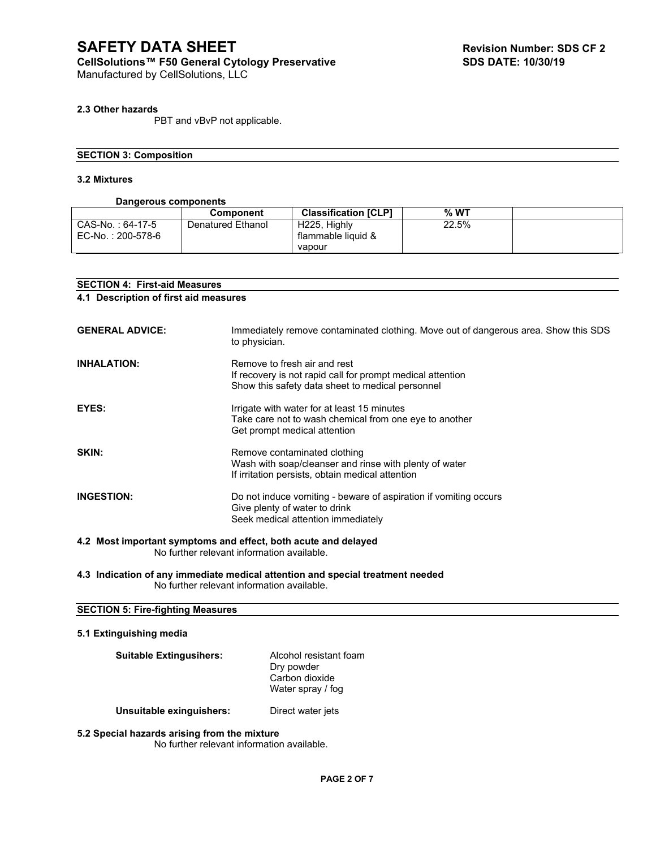Manufactured by CellSolutions, LLC

# **2.3 Other hazards**

PBT and vBvP not applicable.

# **SECTION 3: Composition**

# **3.2 Mixtures**

# **Dangerous components**

|                   | <b>Component</b>  | <b>Classification [CLP]</b> | $%$ WT |  |
|-------------------|-------------------|-----------------------------|--------|--|
| CAS-No.: 64-17-5  | Denatured Ethanol | H225. Highly                | 22.5%  |  |
| EC-No.: 200-578-6 |                   | flammable liquid &          |        |  |
|                   |                   | vapour                      |        |  |

| <b>SECTION 4: First-aid Measures</b> |                                                                                                                                                |  |  |
|--------------------------------------|------------------------------------------------------------------------------------------------------------------------------------------------|--|--|
|                                      | 4.1 Description of first aid measures                                                                                                          |  |  |
|                                      |                                                                                                                                                |  |  |
| <b>GENERAL ADVICE:</b>               | Immediately remove contaminated clothing. Move out of dangerous area. Show this SDS<br>to physician.                                           |  |  |
| <b>INHALATION:</b>                   | Remove to fresh air and rest<br>If recovery is not rapid call for prompt medical attention<br>Show this safety data sheet to medical personnel |  |  |
| EYES:                                | Irrigate with water for at least 15 minutes<br>Take care not to wash chemical from one eye to another<br>Get prompt medical attention          |  |  |
| SKIN:                                | Remove contaminated clothing<br>Wash with soap/cleanser and rinse with plenty of water<br>If irritation persists, obtain medical attention     |  |  |
| <b>INGESTION:</b>                    | Do not induce vomiting - beware of aspiration if vomiting occurs<br>Give plenty of water to drink<br>Seek medical attention immediately        |  |  |
|                                      | 4.2 Most important symptoms and effect, both acute and delayed<br>No further relevant information available.                                   |  |  |

**4.3 Indication of any immediate medical attention and special treatment needed** No further relevant information available.

# **SECTION 5: Fire-fighting Measures**

# **5.1 Extinguishing media**

| <b>Suitable Extingusihers:</b> | Alcohol resistant foam<br>Dry powder<br>Carbon dioxide<br>Water spray / fog |
|--------------------------------|-----------------------------------------------------------------------------|
| Unsuitable exinguishers:       | Direct water jets                                                           |

**5.2 Special hazards arising from the mixture**  No further relevant information available.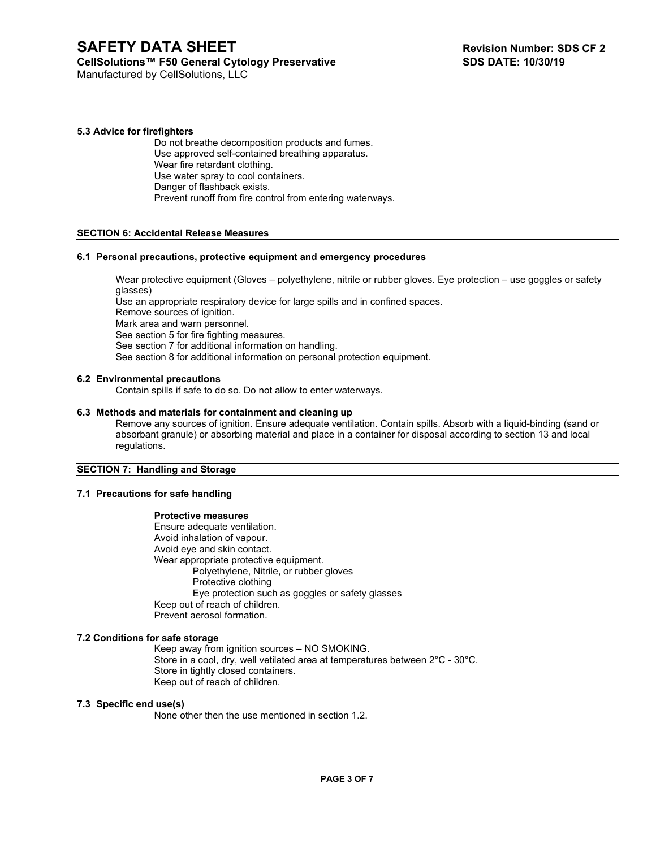# **SAFETY DATA SHEET Revision Number: SDS CF 2**

# CellSolutions™ F50 General Cytology Preservative SDS DATE: 10/30/19

Manufactured by CellSolutions, LLC

# **5.3 Advice for firefighters**

Do not breathe decomposition products and fumes. Use approved self-contained breathing apparatus. Wear fire retardant clothing. Use water spray to cool containers. Danger of flashback exists. Prevent runoff from fire control from entering waterways.

# **SECTION 6: Accidental Release Measures**

#### **6.1 Personal precautions, protective equipment and emergency procedures**

Wear protective equipment (Gloves – polyethylene, nitrile or rubber gloves. Eye protection – use goggles or safety glasses)

Use an appropriate respiratory device for large spills and in confined spaces.

Remove sources of ignition.

Mark area and warn personnel.

See section 5 for fire fighting measures.

See section 7 for additional information on handling.

See section 8 for additional information on personal protection equipment.

#### **6.2 Environmental precautions**

Contain spills if safe to do so. Do not allow to enter waterways.

## **6.3 Methods and materials for containment and cleaning up**

Remove any sources of ignition. Ensure adequate ventilation. Contain spills. Absorb with a liquid-binding (sand or absorbant granule) or absorbing material and place in a container for disposal according to section 13 and local regulations.

#### **SECTION 7: Handling and Storage**

## **7.1 Precautions for safe handling**

## **Protective measures**

Ensure adequate ventilation. Avoid inhalation of vapour. Avoid eye and skin contact. Wear appropriate protective equipment. Polyethylene, Nitrile, or rubber gloves Protective clothing Eye protection such as goggles or safety glasses Keep out of reach of children. Prevent aerosol formation.

## **7.2 Conditions for safe storage**

Keep away from ignition sources – NO SMOKING. Store in a cool, dry, well vetilated area at temperatures between 2°C - 30°C. Store in tightly closed containers. Keep out of reach of children.

## **7.3 Specific end use(s)**

None other then the use mentioned in section 1.2.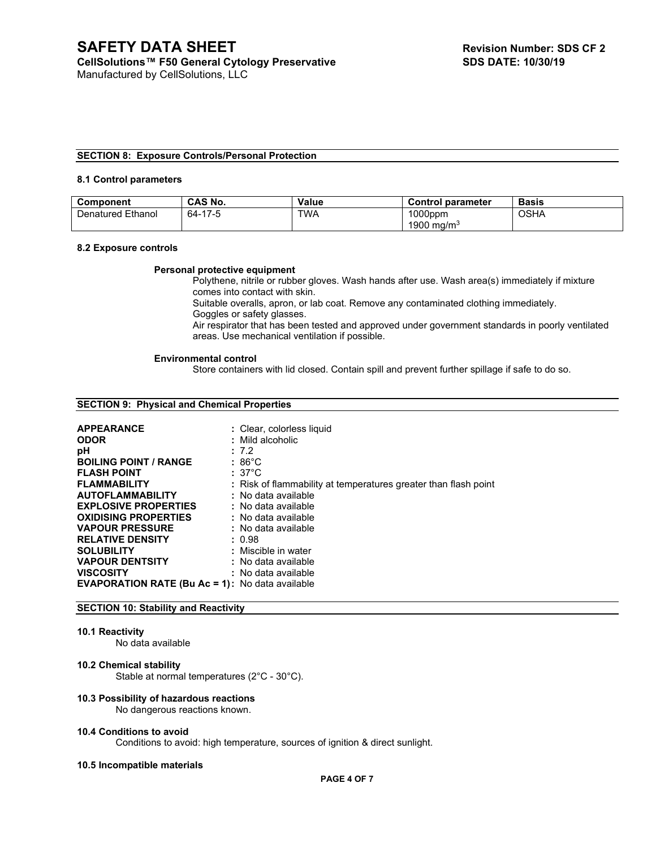#### **SECTION 8: Exposure Controls/Personal Protection**

#### **8.1 Control parameters**

| Component                 | <b>CAS No.</b> | <b>Value</b> | <b>Control parameter</b>             | <b>Basis</b> |
|---------------------------|----------------|--------------|--------------------------------------|--------------|
| <i>D</i> enatured Ethanol | -17-5<br>64-   | TWA          | $1000$ ppm<br>1900 ma/m <sup>3</sup> | OSHA         |

#### **8.2 Exposure controls**

#### **Personal protective equipment**

Polythene, nitrile or rubber gloves. Wash hands after use. Wash area(s) immediately if mixture comes into contact with skin.

Suitable overalls, apron, or lab coat. Remove any contaminated clothing immediately. Goggles or safety glasses.

Air respirator that has been tested and approved under government standards in poorly ventilated areas. Use mechanical ventilation if possible.

#### **Environmental control**

Store containers with lid closed. Contain spill and prevent further spillage if safe to do so.

#### **SECTION 9: Physical and Chemical Properties**

| <b>APPEARANCE</b>                                      | : Clear, colorless liquid                                       |
|--------------------------------------------------------|-----------------------------------------------------------------|
| <b>ODOR</b>                                            | : Mild alcoholic                                                |
| рH                                                     | : 7.2                                                           |
| <b>BOILING POINT / RANGE</b>                           | $:86^{\circ}$ C                                                 |
| <b>FLASH POINT</b>                                     | $:37^{\circ}$ C                                                 |
| <b>FLAMMABILITY</b>                                    | : Risk of flammability at temperatures greater than flash point |
| <b>AUTOFLAMMABILITY</b>                                | : No data available                                             |
| <b>EXPLOSIVE PROPERTIES</b>                            | : No data available                                             |
| <b>OXIDISING PROPERTIES</b>                            | : No data available                                             |
| <b>VAPOUR PRESSURE</b>                                 | : No data available                                             |
| <b>RELATIVE DENSITY</b>                                | : 0.98                                                          |
| <b>SOLUBILITY</b>                                      | : Miscible in water                                             |
| <b>VAPOUR DENTSITY</b>                                 | : No data available                                             |
| <b>VISCOSITY</b>                                       | : No data available                                             |
| <b>EVAPORATION RATE (Bu Ac = 1):</b> No data available |                                                                 |

#### **SECTION 10: Stability and Reactivity**

#### **10.1 Reactivity**

No data available

#### **10.2 Chemical stability**

Stable at normal temperatures (2°C - 30°C).

#### **10.3 Possibility of hazardous reactions**

No dangerous reactions known.

#### **10.4 Conditions to avoid**

Conditions to avoid: high temperature, sources of ignition & direct sunlight.

#### **10.5 Incompatible materials**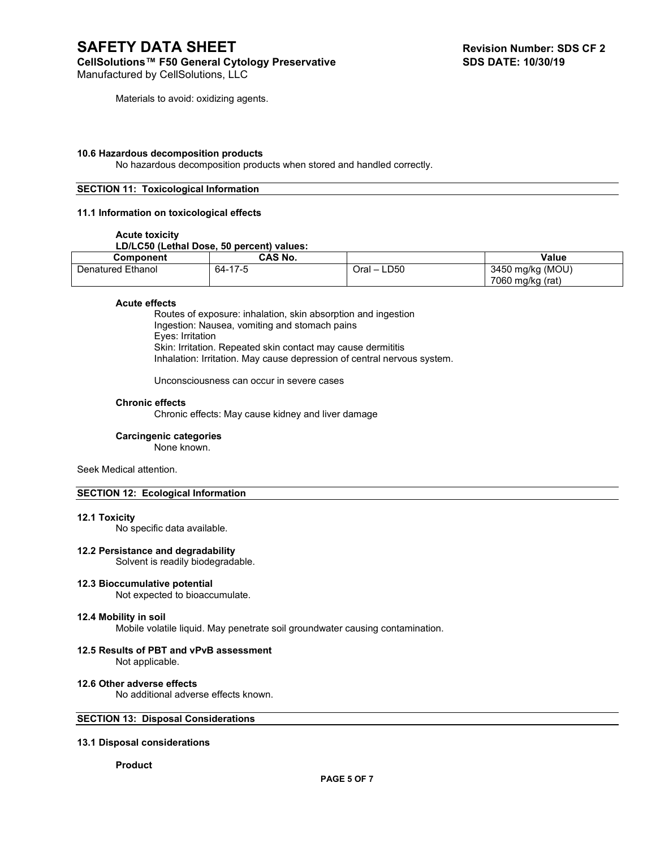Manufactured by CellSolutions, LLC

Materials to avoid: oxidizing agents.

#### **10.6 Hazardous decomposition products**

No hazardous decomposition products when stored and handled correctly.

## **SECTION 11: Toxicological Information**

#### **11.1 Information on toxicological effects**

#### **Acute toxicity**

# **LD/LC50 (Lethal Dose, 50 percent) values:**

| Component         | CAS No.          |                                          | <b>Value</b>     |
|-------------------|------------------|------------------------------------------|------------------|
| Denatured Ethanol | 64-17-<br>$1/-5$ | LD50<br>Oral<br>$\overline{\phantom{0}}$ | 3450 mg/kg (MOU) |
|                   |                  |                                          | 7060 mg/kg (rat) |

#### **Acute effects**

Routes of exposure: inhalation, skin absorption and ingestion Ingestion: Nausea, vomiting and stomach pains Eyes: Irritation Skin: Irritation. Repeated skin contact may cause dermititis Inhalation: Irritation. May cause depression of central nervous system.

Unconsciousness can occur in severe cases

#### **Chronic effects**

Chronic effects: May cause kidney and liver damage

#### **Carcingenic categories**

None known.

Seek Medical attention.

# **SECTION 12: Ecological Information**

#### **12.1 Toxicity**

No specific data available.

## **12.2 Persistance and degradability**

Solvent is readily biodegradable.

#### **12.3 Bioccumulative potential**

Not expected to bioaccumulate.

#### **12.4 Mobility in soil**

Mobile volatile liquid. May penetrate soil groundwater causing contamination.

#### **12.5 Results of PBT and vPvB assessment** Not applicable.

#### **12.6 Other adverse effects**

No additional adverse effects known.

# **SECTION 13: Disposal Considerations**

#### **13.1 Disposal considerations**

#### **Product**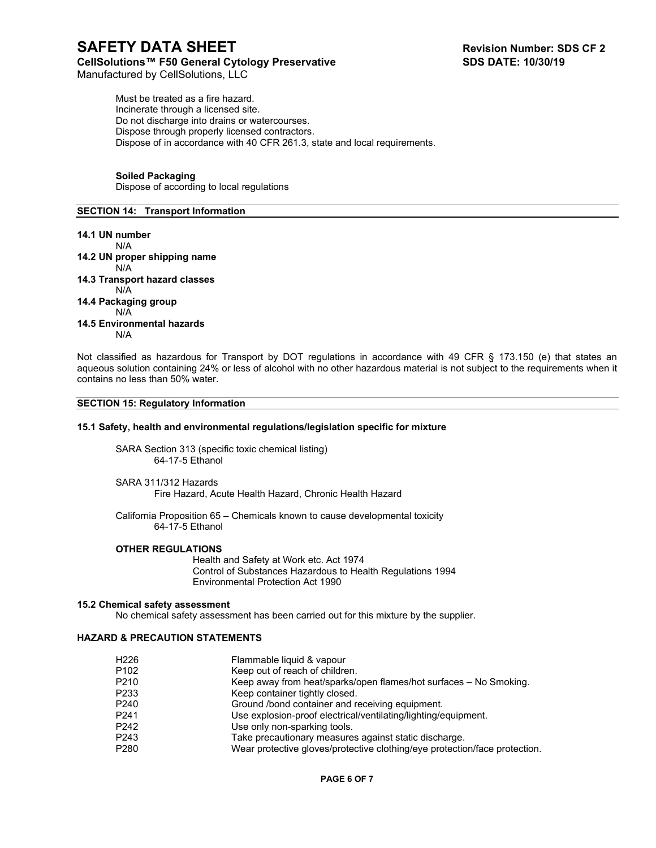Manufactured by CellSolutions, LLC

Must be treated as a fire hazard. Incinerate through a licensed site. Do not discharge into drains or watercourses. Dispose through properly licensed contractors. Dispose of in accordance with 40 CFR 261.3, state and local requirements.

# **Soiled Packaging**

Dispose of according to local regulations

# **SECTION 14: Transport Information**

# **14.1 UN number** N/A **14.2 UN proper shipping name** N/A **14.3 Transport hazard classes** N/A **14.4 Packaging group** N/A **14.5 Environmental hazards** N/A

Not classified as hazardous for Transport by DOT regulations in accordance with 49 CFR § 173.150 (e) that states an aqueous solution containing 24% or less of alcohol with no other hazardous material is not subject to the requirements when it contains no less than 50% water.

# **SECTION 15: Regulatory Information**

## **15.1 Safety, health and environmental regulations/legislation specific for mixture**

SARA Section 313 (specific toxic chemical listing) 64-17-5 Ethanol

SARA 311/312 Hazards Fire Hazard, Acute Health Hazard, Chronic Health Hazard

California Proposition 65 – Chemicals known to cause developmental toxicity 64-17-5 Ethanol

# **OTHER REGULATIONS**

Health and Safety at Work etc. Act 1974 Control of Substances Hazardous to Health Regulations 1994 Environmental Protection Act 1990

## **15.2 Chemical safety assessment**

No chemical safety assessment has been carried out for this mixture by the supplier.

# **HAZARD & PRECAUTION STATEMENTS**

| H226 | Flammable liquid & vapour                                                  |
|------|----------------------------------------------------------------------------|
| P102 | Keep out of reach of children.                                             |
| P210 | Keep away from heat/sparks/open flames/hot surfaces – No Smoking.          |
| P233 | Keep container tightly closed.                                             |
| P240 | Ground /bond container and receiving equipment.                            |
| P241 | Use explosion-proof electrical/ventilating/lighting/equipment.             |
| P242 | Use only non-sparking tools.                                               |
| P243 | Take precautionary measures against static discharge.                      |
| P280 | Wear protective gloves/protective clothing/eye protection/face protection. |
|      |                                                                            |